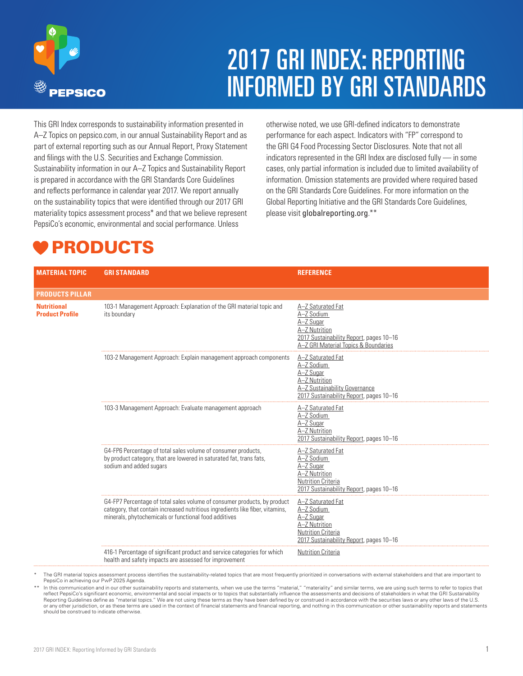

# 2017 GRI INDEX: REPORTING INFORMED BY GRI STANDARDS

otherwise noted, we use GRI-defined indicators to demonstrate performance for each aspect. Indicators with "FP" correspond to the GRI G4 Food Processing Sector Disclosures. Note that not all indicators represented in the GRI Index are disclosed fully — in some cases, only partial information is included due to limited availability of information. Omission statements are provided where required based on the GRI Standards Core Guidelines. For more information on the Global Reporting Initiative and the GRI Standards Core Guidelines,

please visit globalreporting.org.\*\*

This GRI Index corresponds to sustainability information presented in A–Z Topics on pepsico.com, in our annual Sustainability Report and as part of external reporting such as our Annual Report, Proxy Statement and filings with the U.S. Securities and Exchange Commission. Sustainability information in our A–Z Topics and Sustainability Report is prepared in accordance with the GRI Standards Core Guidelines and reflects performance in calendar year 2017. We report annually on the sustainability topics that were identified through our 2017 GRI materiality topics assessment process\* and that we believe represent PepsiCo's economic, environmental and social performance. Unless

**MATERIAL TOPIC GRI STANDARD REFERENCE PRODUCTS PILLAR Nutritional Product Profile** 103-1 Management Approach: Explanation of the GRI material topic and its boundary [A–Z Saturated Fat](http://www.pepsico.com/sustainability/A-Z-Topics/#saturated-fat) [A–Z Sodium](http://www.pepsico.com/sustainability/A-Z-Topics/#sodium) [A–Z Sugar](http://www.pepsico.com/sustainability/A-Z-Topics/#sugar) [A–Z Nutrition](http://www.pepsico.com/sustainability/nutrition) [2017 Sustainability Report,](https://www.pepsico.com/docs/album/sustainability-reporting/pepsico_2017_csr.pdf) pages 10–16 [A–Z GRI Material Topics & Boundaries](http://www.pepsico.com/sustainability/A-Z-Topics/#Materiality) 103-2 Management Approach: Explain management approach components [A–Z Saturated Fat](http://www.pepsico.com/sustainability/A-Z-Topics/#saturated-fat) [A–Z Sodium](http://www.pepsico.com/sustainability/A-Z-Topics/#sodium) [A–Z Sugar](http://www.pepsico.com/sustainability/A-Z-Topics/#sugar) [A–Z Nutrition](http://www.pepsico.com/sustainability/nutrition) A-Z Sustainability Governance [2017 Sustainability Report,](https://www.pepsico.com/docs/album/sustainability-reporting/pepsico_2017_csr.pdf) pages 10–16 103-3 Management Approach: Evaluate management approach  $A-Z$  Saturated Fat [A–Z Sodium](http://www.pepsico.com/sustainability/A-Z-Topics/#sodium) [A–Z Sugar](http://www.pepsico.com/sustainability/A-Z-Topics/#sugar) [A–Z Nutrition](http://www.pepsico.com/sustainability/nutrition) [2017 Sustainability Report,](https://www.pepsico.com/docs/album/sustainability-reporting/pepsico_2017_csr.pdf) pages 10–16 G4-FP6 Percentage of total sales volume of consumer products, by product category, that are lowered in saturated fat, trans fats, sodium and added sugars [A–Z Saturated Fat](http://www.pepsico.com/sustainability/A-Z-Topics/#saturated-fat) [A–Z Sodium](http://www.pepsico.com/sustainability/A-Z-Topics/#sodium) [A–Z Sugar](http://www.pepsico.com/sustainability/A-Z-Topics/#sugar) [A–Z Nutrition](http://www.pepsico.com/sustainability/nutrition) **[Nutrition Criteria](http://www.pepsico.com/docs/album/policies-doc/pepsico-nutrition-criteria.pdf)** [2017 Sustainability Report,](https://www.pepsico.com/docs/album/sustainability-reporting/pepsico_2017_csr.pdf) pages 10–16 G4-FP7 Percentage of total sales volume of consumer products, by product category, that contain increased nutritious ingredients like fiber, vitamins, minerals, phytochemicals or functional food additives [A–Z Saturated Fat](http://www.pepsico.com/sustainability/A-Z-Topics/#saturated-fat) [A–Z Sodium](http://www.pepsico.com/sustainability/A-Z-Topics/#sodium) [A–Z Sugar](http://www.pepsico.com/sustainability/A-Z-Topics/#sugar) [A–Z Nutrition](http://www.pepsico.com/sustainability/nutrition) **[Nutrition Criteria](http://www.pepsico.com/docs/album/policies-doc/pepsico-nutrition-criteria.pdf)** [2017 Sustainability Report,](https://www.pepsico.com/docs/album/sustainability-reporting/pepsico_2017_csr.pdf) pages 10–16 416-1 Percentage of significant product and service categories for which health and safety impacts are assessed for improvement [Nutrition Criteria](http://www.pepsico.com/docs/album/policies-doc/pepsico-nutrition-criteria.pdf) PRODUCTS

The GRI material topics assessment process identifies the sustainability-related topics that are most frequently prioritized in conversations with external stakeholders and that are important to PepsiCo in achieving our PwP 2025 Agenda.

\*\* In this communication and in our other sustainability reports and statements, when we use the terms "material," "materiality" and similar terms, we are using such terms to refer to topics that reflect PepsiCo's significant economic, environmental and social impacts or to topics that substantially influence the assessments and decisions of stakeholders in what the GRI Sustainability<br>Reporting Guidelines define as or any other jurisdiction, or as these terms are used in the context of financial statements and financial reporting, and nothing in this communication or other sustainability reports and statements should be construed to indicate otherwise.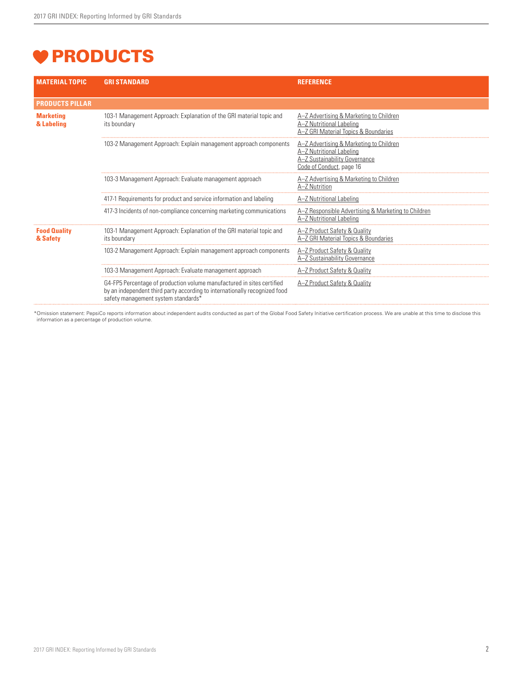# **V PRODUCTS**

| <b>MATERIAL TOPIC</b>           | <b>GRI STANDARD</b>                                                                                                                                                                         | <b>REFERENCE</b>                                                                                                                 |
|---------------------------------|---------------------------------------------------------------------------------------------------------------------------------------------------------------------------------------------|----------------------------------------------------------------------------------------------------------------------------------|
| <b>PRODUCTS PILLAR</b>          |                                                                                                                                                                                             |                                                                                                                                  |
| <b>Marketing</b><br>& Labeling  | 103-1 Management Approach: Explanation of the GRI material topic and<br>its boundary                                                                                                        | A-Z Advertising & Marketing to Children<br>A-Z Nutritional Labeling<br>A-Z GRI Material Topics & Boundaries                      |
|                                 | 103-2 Management Approach: Explain management approach components                                                                                                                           | A-Z Advertising & Marketing to Children<br>A-Z Nutritional Labeling<br>A-Z Sustainability Governance<br>Code of Conduct, page 16 |
|                                 | 103-3 Management Approach: Evaluate management approach                                                                                                                                     | A-Z Advertising & Marketing to Children<br>A-7 Nutrition                                                                         |
|                                 | 417-1 Requirements for product and service information and labeling                                                                                                                         | A-Z Nutritional Labeling                                                                                                         |
|                                 | 417-3 Incidents of non-compliance concerning marketing communications                                                                                                                       | A-Z Responsible Advertising & Marketing to Children<br>A-Z Nutritional Labeling                                                  |
| <b>Food Quality</b><br>& Safety | 103-1 Management Approach: Explanation of the GRI material topic and<br>its boundary                                                                                                        | A-Z Product Safety & Quality<br>A-Z GRI Material Topics & Boundaries                                                             |
|                                 | 103-2 Management Approach: Explain management approach components                                                                                                                           | A-Z Product Safety & Quality<br>A-Z Sustainability Governance                                                                    |
|                                 | 103-3 Management Approach: Evaluate management approach                                                                                                                                     | A-Z Product Safety & Quality                                                                                                     |
|                                 | G4-FP5 Percentage of production volume manufactured in sites certified<br>by an independent third party according to internationally recognized food<br>safety management system standards* | A-Z Product Safety & Quality                                                                                                     |

\*Omission statement: PepsiCo reports information about independent audits conducted as part of the Global Food Safety Initiative certification process. We are unable at this time to disclose this<br>information as a percentag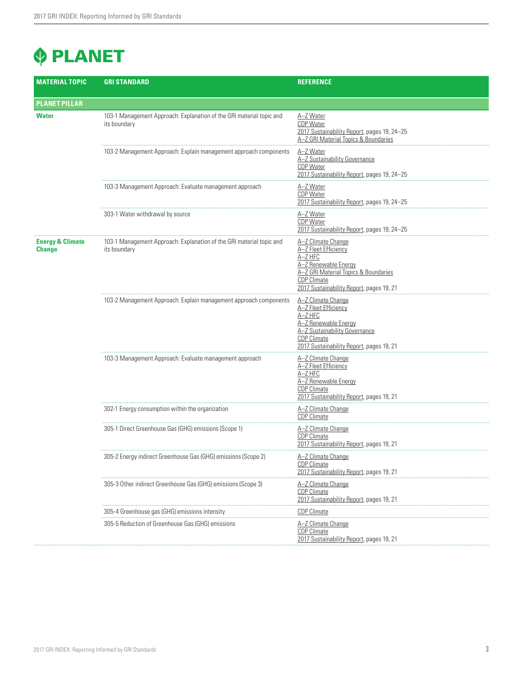# **PLANET**

| <b>MATERIAL TOPIC</b>                        | <b>GRI STANDARD</b>                                                                  | <b>REFERENCE</b>                                                                                                                                                                        |
|----------------------------------------------|--------------------------------------------------------------------------------------|-----------------------------------------------------------------------------------------------------------------------------------------------------------------------------------------|
| <b>PLANET PILLAR</b>                         |                                                                                      |                                                                                                                                                                                         |
| <b>Water</b>                                 | 103-1 Management Approach: Explanation of the GRI material topic and<br>its boundary | A-Z Water<br>CDP Water<br>2017 Sustainability Report, pages 19, 24-25<br>A-Z GRI Material Topics & Boundaries                                                                           |
|                                              | 103-2 Management Approach: Explain management approach components                    | A-Z Water<br>A-Z Sustainability Governance<br><b>CDP Water</b><br>2017 Sustainability Report, pages 19, 24-25                                                                           |
|                                              | 103-3 Management Approach: Evaluate management approach                              | A-Z Water<br><b>CDP Water</b><br>2017 Sustainability Report, pages 19, 24-25                                                                                                            |
|                                              | 303-1 Water withdrawal by source                                                     | A-Z Water<br><b>CDP Water</b><br>2017 Sustainability Report, pages 19, 24-25                                                                                                            |
| <b>Energy &amp; Climate</b><br><b>Change</b> | 103-1 Management Approach: Explanation of the GRI material topic and<br>its boundary | A-Z Climate Change<br>A-Z Fleet Efficiency<br>A-Z HFC<br>A-Z Renewable Energy<br>A-Z GRI Material Topics & Boundaries<br><b>CDP Climate</b><br>2017 Sustainability Report, pages 19, 21 |
|                                              | 103-2 Management Approach: Explain management approach components                    | A-Z Climate Change<br>A-Z Fleet Efficiency<br>$A-Z$ HFC<br>A-Z Renewable Energy<br>A-Z Sustainability Governance<br><b>CDP Climate</b><br>2017 Sustainability Report, pages 19, 21      |
|                                              | 103-3 Management Approach: Evaluate management approach                              | A-Z Climate Change<br>A-Z Fleet Efficiency<br>A-Z HFC<br>A-Z Renewable Energy<br><b>CDP Climate</b><br>2017 Sustainability Report, pages 19, 21                                         |
|                                              | 302-1 Energy consumption within the organization                                     | A-Z Climate Change<br><b>CDP Climate</b>                                                                                                                                                |
|                                              | 305-1 Direct Greenhouse Gas (GHG) emissions (Scope 1)                                | A-Z Climate Change<br><b>CDP Climate</b><br>2017 Sustainability Report, pages 19, 21                                                                                                    |
|                                              | 305-2 Energy indirect Greenhouse Gas (GHG) emissions (Scope 2)                       | A-Z Climate Change<br><b>CDP Climate</b><br>2017 Sustainability Report, pages 19, 21                                                                                                    |
|                                              | 305-3 Other indirect Greenhouse Gas (GHG) emissions (Scope 3)                        | A-Z Climate Change<br><b>CDP Climate</b><br>2017 Sustainability Report, pages 19, 21                                                                                                    |
|                                              | 305-4 Greenhouse gas (GHG) emissions intensity                                       | <b>CDP Climate</b>                                                                                                                                                                      |
|                                              | 305-5 Reduction of Greenhouse Gas (GHG) emissions                                    | A-Z Climate Change<br><b>CDP Climate</b><br>2017 Sustainability Report, pages 19, 21                                                                                                    |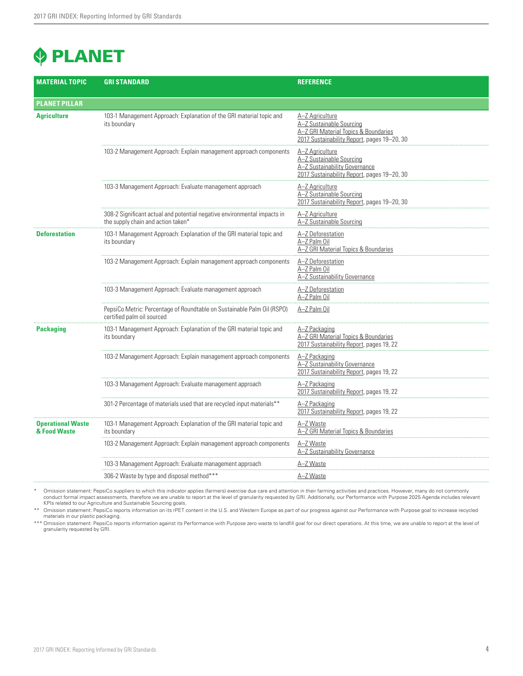# **PLANET**

| <b>MATERIAL TOPIC</b>                    | <b>GRI STANDARD</b>                                                                                            | <b>REFERENCE</b>                                                                                                                   |
|------------------------------------------|----------------------------------------------------------------------------------------------------------------|------------------------------------------------------------------------------------------------------------------------------------|
| <b>PLANET PILLAR</b>                     |                                                                                                                |                                                                                                                                    |
| <b>Agriculture</b>                       | 103-1 Management Approach: Explanation of the GRI material topic and<br>its boundary                           | A-Z Agriculture<br>A-Z Sustainable Sourcing<br>A-Z GRI Material Topics & Boundaries<br>2017 Sustainability Report, pages 19-20, 30 |
|                                          | 103-2 Management Approach: Explain management approach components                                              | A-Z Agriculture<br>A-Z Sustainable Sourcing<br>A-Z Sustainability Governance<br>2017 Sustainability Report, pages 19-20, 30        |
|                                          | 103-3 Management Approach: Evaluate management approach                                                        | A-Z Agriculture<br>A-Z Sustainable Sourcing<br>2017 Sustainability Report, pages 19-20, 30                                         |
|                                          | 308-2 Significant actual and potential negative environmental impacts in<br>the supply chain and action taken* | A-Z Agriculture<br>A-Z Sustainable Sourcing                                                                                        |
| <b>Deforestation</b>                     | 103-1 Management Approach: Explanation of the GRI material topic and<br>its boundary                           | A-Z Deforestation<br>A-Z Palm Oil<br>A-Z GRI Material Topics & Boundaries                                                          |
|                                          | 103-2 Management Approach: Explain management approach components                                              | A-Z Deforestation<br>A-Z Palm Oil<br>A-Z Sustainability Governance                                                                 |
|                                          | 103-3 Management Approach: Evaluate management approach                                                        | A-Z Deforestation<br>A-Z Palm Oil                                                                                                  |
|                                          | PepsiCo Metric: Percentage of Roundtable on Sustainable Palm Oil (RSPO)<br>certified palm oil sourced          | A-Z Palm Oil                                                                                                                       |
| <b>Packaging</b>                         | 103-1 Management Approach: Explanation of the GRI material topic and<br>its boundary                           | A-Z Packaging<br>A-Z GRI Material Topics & Boundaries<br>2017 Sustainability Report, pages 19, 22                                  |
|                                          | 103-2 Management Approach: Explain management approach components                                              | A-Z Packaging<br>A-Z Sustainability Governance<br>2017 Sustainability Report, pages 19, 22                                         |
|                                          | 103-3 Management Approach: Evaluate management approach                                                        | A-Z Packaging<br>2017 Sustainability Report, pages 19, 22                                                                          |
|                                          | 301-2 Percentage of materials used that are recycled input materials**                                         | A-Z Packaging<br>2017 Sustainability Report, pages 19, 22                                                                          |
| <b>Operational Waste</b><br>& Food Waste | 103-1 Management Approach: Explanation of the GRI material topic and<br>its boundary                           | A-Z Waste<br>A-Z GRI Material Topics & Boundaries                                                                                  |
|                                          | 103-2 Management Approach: Explain management approach components                                              | A-Z Waste<br>A-Z Sustainability Governance                                                                                         |
|                                          | 103-3 Management Approach: Evaluate management approach                                                        | A-Z Waste                                                                                                                          |
|                                          | 306-2 Waste by type and disposal method***                                                                     | A-Z Waste                                                                                                                          |

\* Omission statement: PepsiCo suppliers to which this indicator applies (farmers) exercise due care and attention in their farming activities and practices. However, many do not commonly conduct formal includes relevan

\*\* Omission statement: PepsiCo reports information on its rPET content in the U.S. and Western Europe as part of our progress against our Performance with Purpose goal to increase recycled<br>materials in our plastic packagin

\*\*\* Omission statement: PepsiCo reports information against its Performance with Purpose zero waste to landfill goal for our direct operations. At this time, we are unable to report at the level of granularity requested by GRI.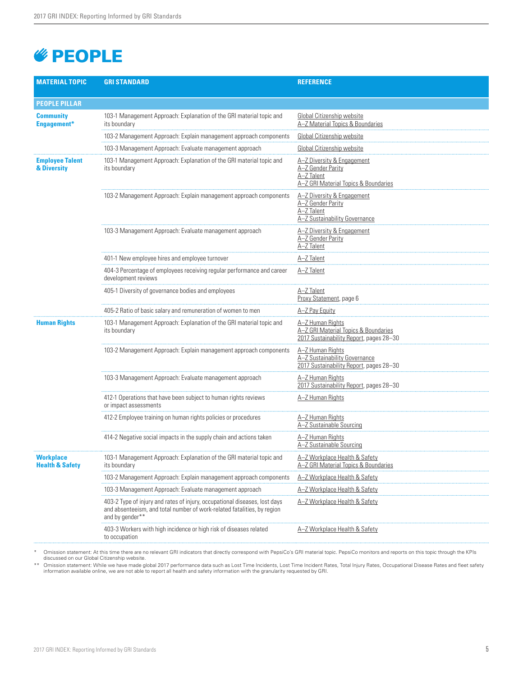# *<u><b>EOPLE</u>*

| <b>MATERIAL TOPIC</b>                   | <b>GRI STANDARD</b>                                                                                                                                                      | <b>REFERENCE</b>                                                                                      |
|-----------------------------------------|--------------------------------------------------------------------------------------------------------------------------------------------------------------------------|-------------------------------------------------------------------------------------------------------|
| <b>PEOPLE PILLAR</b>                    |                                                                                                                                                                          |                                                                                                       |
| <b>Community</b><br>Engagement*         | 103-1 Management Approach: Explanation of the GRI material topic and<br>its boundary                                                                                     | Global Citizenship website<br>A-Z Material Topics & Boundaries                                        |
|                                         | 103-2 Management Approach: Explain management approach components                                                                                                        | Global Citizenship website                                                                            |
|                                         | 103-3 Management Approach: Evaluate management approach                                                                                                                  | Global Citizenship website                                                                            |
| <b>Employee Talent</b><br>& Diversity   | 103-1 Management Approach: Explanation of the GRI material topic and<br>its boundary                                                                                     | A-Z Diversity & Engagement<br>A-Z Gender Parity<br>A-Z Talent<br>A-Z GRI Material Topics & Boundaries |
|                                         | 103-2 Management Approach: Explain management approach components                                                                                                        | A-Z Diversity & Engagement<br>A-Z Gender Parity<br>A-Z Talent<br>A-Z Sustainability Governance        |
|                                         | 103-3 Management Approach: Evaluate management approach                                                                                                                  | A-Z Diversity & Engagement<br>A-Z Gender Parity<br>A-Z Talent                                         |
|                                         | 401-1 New employee hires and employee turnover                                                                                                                           | A-Z Talent                                                                                            |
|                                         | 404-3 Percentage of employees receiving regular performance and career<br>development reviews                                                                            | A-Z Talent                                                                                            |
|                                         | 405-1 Diversity of governance bodies and employees                                                                                                                       | A-Z Talent<br>Proxy Statement, page 6                                                                 |
|                                         | 405-2 Ratio of basic salary and remuneration of women to men                                                                                                             | A-Z Pay Equity                                                                                        |
| <b>Human Rights</b>                     | 103-1 Management Approach: Explanation of the GRI material topic and<br>its boundary                                                                                     | A-Z Human Rights<br>A-Z GRI Material Topics & Boundaries<br>2017 Sustainability Report, pages 28-30   |
|                                         | 103-2 Management Approach: Explain management approach components                                                                                                        | A-Z Human Rights<br>A-Z Sustainability Governance<br>2017 Sustainability Report, pages 28-30          |
|                                         | 103-3 Management Approach: Evaluate management approach                                                                                                                  | A-Z Human Rights<br>2017 Sustainability Report, pages 28-30                                           |
|                                         | 412-1 Operations that have been subject to human rights reviews<br>or impact assessments                                                                                 | A-Z Human Rights                                                                                      |
|                                         | 412-2 Employee training on human rights policies or procedures                                                                                                           | A-Z Human Rights<br>A-Z Sustainable Sourcing                                                          |
|                                         | 414-2 Negative social impacts in the supply chain and actions taken                                                                                                      | A-Z Human Rights<br>A-Z Sustainable Sourcing                                                          |
| Workplace<br><b>Health &amp; Safety</b> | 103-1 Management Approach: Explanation of the GRI material topic and<br>its boundary                                                                                     | A-Z Workplace Health & Safety<br>A–Z GRI Material Topics & Boundaries                                 |
|                                         | 103-2 Management Approach: Explain management approach components                                                                                                        | A-Z Workplace Health & Safety                                                                         |
|                                         | 103-3 Management Approach: Evaluate management approach                                                                                                                  | A-Z Workplace Health & Safety                                                                         |
|                                         | 403-2 Type of injury and rates of injury, occupational diseases, lost days<br>and absenteeism, and total number of work-related fatalities, by region<br>and by gender** | A-Z Workplace Health & Safety                                                                         |
|                                         | 403-3 Workers with high incidence or high risk of diseases related<br>to occupation                                                                                      | A-Z Workplace Health & Safety                                                                         |

\* Omission statement: At this time there are no relevant GRI indicators that directly correspond with PepsiCo's GRI material topic. PepsiCo monitors and reports on this topic through the KPIs discussed on our Global Citizenship website.

\*\* Omission statement: While we have made global 2017 performance data such as Lost Time Incidents, Lost Time Incident Rates, Total Injury Rates, Occupational Disease Rates and fleet safety information with the granularity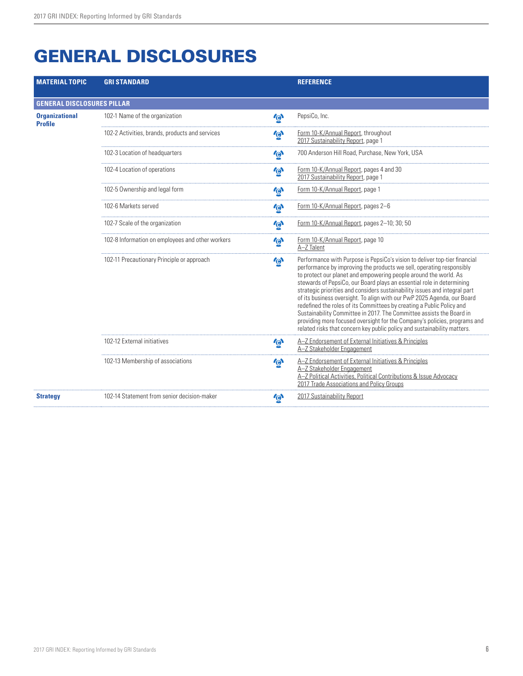| <b>MATERIAL TOPIC</b>                   | <b>GRI STANDARD</b>                              |                         | <b>REFERENCE</b>                                                                                                                                                                                                                                                                                                                                                                                                                                                                                                                                                                                                                                                                                                                                                   |  |
|-----------------------------------------|--------------------------------------------------|-------------------------|--------------------------------------------------------------------------------------------------------------------------------------------------------------------------------------------------------------------------------------------------------------------------------------------------------------------------------------------------------------------------------------------------------------------------------------------------------------------------------------------------------------------------------------------------------------------------------------------------------------------------------------------------------------------------------------------------------------------------------------------------------------------|--|
| <b>GENERAL DISCLOSURES PILLAR</b>       |                                                  |                         |                                                                                                                                                                                                                                                                                                                                                                                                                                                                                                                                                                                                                                                                                                                                                                    |  |
| <b>Organizational</b><br><b>Profile</b> | 102-1 Name of the organization                   | $\mathbf{r}$            | PepsiCo, Inc.                                                                                                                                                                                                                                                                                                                                                                                                                                                                                                                                                                                                                                                                                                                                                      |  |
|                                         | 102-2 Activities, brands, products and services  | $\mathbf{r}$            | Form 10-K/Annual Report, throughout<br>2017 Sustainability Report, page 1                                                                                                                                                                                                                                                                                                                                                                                                                                                                                                                                                                                                                                                                                          |  |
|                                         | 102-3 Location of headquarters                   | $\mathbf{\Phi}$         | 700 Anderson Hill Road, Purchase, New York, USA                                                                                                                                                                                                                                                                                                                                                                                                                                                                                                                                                                                                                                                                                                                    |  |
|                                         | 102-4 Location of operations                     | 心                       | Form 10-K/Annual Report, pages 4 and 30<br>2017 Sustainability Report, page 1                                                                                                                                                                                                                                                                                                                                                                                                                                                                                                                                                                                                                                                                                      |  |
|                                         | 102-5 Ownership and legal form                   | $\ddot{\theta}$         | Form 10-K/Annual Report, page 1                                                                                                                                                                                                                                                                                                                                                                                                                                                                                                                                                                                                                                                                                                                                    |  |
|                                         | 102-6 Markets served                             | $\overline{\mathbf{e}}$ | Form 10-K/Annual Report, pages 2-6                                                                                                                                                                                                                                                                                                                                                                                                                                                                                                                                                                                                                                                                                                                                 |  |
|                                         | 102-7 Scale of the organization                  | $\mathbf{r}$            | Form 10-K/Annual Report, pages 2-10; 30; 50                                                                                                                                                                                                                                                                                                                                                                                                                                                                                                                                                                                                                                                                                                                        |  |
|                                         | 102-8 Information on employees and other workers | $\mathbf{r}$            | Form 10-K/Annual Report, page 10<br>A-Z Talent                                                                                                                                                                                                                                                                                                                                                                                                                                                                                                                                                                                                                                                                                                                     |  |
|                                         | 102-11 Precautionary Principle or approach       | $\ddot{\theta}$         | Performance with Purpose is PepsiCo's vision to deliver top-tier financial<br>performance by improving the products we sell, operating responsibly<br>to protect our planet and empowering people around the world. As<br>stewards of PepsiCo, our Board plays an essential role in determining<br>strategic priorities and considers sustainability issues and integral part<br>of its business oversight. To align with our PwP 2025 Agenda, our Board<br>redefined the roles of its Committees by creating a Public Policy and<br>Sustainability Committee in 2017. The Committee assists the Board in<br>providing more focused oversight for the Company's policies, programs and<br>related risks that concern key public policy and sustainability matters. |  |
|                                         | 102-12 External initiatives                      | $\ddot{\theta}$         | A-Z Endorsement of External Initiatives & Principles<br>A-Z Stakeholder Engagement                                                                                                                                                                                                                                                                                                                                                                                                                                                                                                                                                                                                                                                                                 |  |
|                                         | 102-13 Membership of associations                | $\mathbf{\Theta}$       | A-Z Endorsement of External Initiatives & Principles<br>A-Z Stakeholder Engagement<br>A-Z Political Activities, Political Contributions & Issue Advocacy<br>2017 Trade Associations and Policy Groups                                                                                                                                                                                                                                                                                                                                                                                                                                                                                                                                                              |  |
| <b>Strategy</b>                         | 102-14 Statement from senior decision-maker      | $\boldsymbol{\theta}$   | 2017 Sustainability Report                                                                                                                                                                                                                                                                                                                                                                                                                                                                                                                                                                                                                                                                                                                                         |  |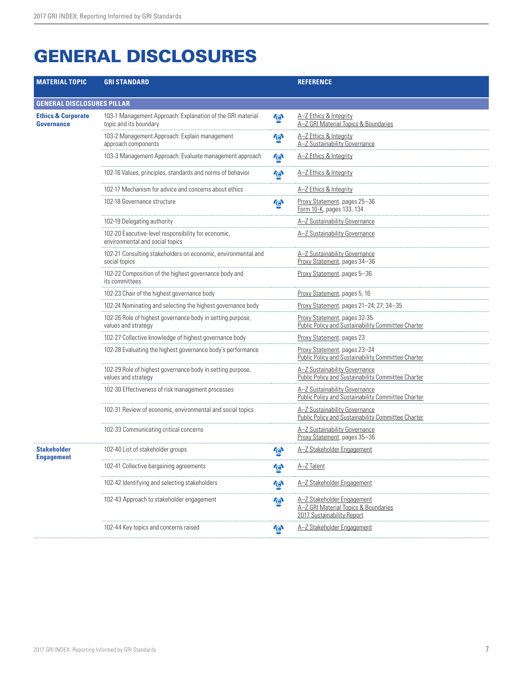| <b>MATERIAL TOPIC</b>                              | <b>GRI STANDARD</b>                                                                    |                         | <b>REFERENCE</b>                                                                                 |
|----------------------------------------------------|----------------------------------------------------------------------------------------|-------------------------|--------------------------------------------------------------------------------------------------|
|                                                    |                                                                                        |                         |                                                                                                  |
| <b>GENERAL DISCLOSURES PILLAR</b>                  |                                                                                        |                         |                                                                                                  |
| <b>Ethics &amp; Corporate</b><br><b>Governance</b> | 103-1 Management Approach: Explanation of the GRI material<br>topic and its boundary   | $\mathbf{\Theta}$       | A-Z Ethics & Integrity<br>A-Z GRI Material Topics & Boundaries                                   |
|                                                    | 103-2 Management Approach: Explain management<br>approach components                   | $\ddot{\theta}$         | A-Z Ethics & Integrity<br>A-Z Sustainability Governance                                          |
|                                                    | 103-3 Management Approach: Evaluate management approach                                | $\mathbf{\Theta}$       | A-Z Ethics & Integrity                                                                           |
|                                                    | 102-16 Values, principles, standards and norms of behavior                             | $\mathbf{r}$            | A-Z Ethics & Integrity                                                                           |
|                                                    | 102-17 Mechanism for advice and concerns about ethics                                  |                         | A-Z Ethics & Integrity                                                                           |
|                                                    | 102-18 Governance structure                                                            | $\vec{\Theta}$          | Proxy Statement, pages 25-36<br>Form 10-K, pages 133, 134                                        |
|                                                    | 102-19 Delegating authority                                                            |                         | A-Z Sustainability Governance                                                                    |
|                                                    | 102-20 Executive-level responsibility for economic,<br>environmental and social topics |                         | A-Z Sustainability Governance                                                                    |
|                                                    | 102-21 Consulting stakeholders on economic, environmental and<br>social topics         |                         | A-Z Sustainability Governance<br>Proxy Statement, pages 34-36                                    |
|                                                    | 102-22 Composition of the highest governance body and<br>its committees                |                         | Proxy Statement, pages 5-36                                                                      |
|                                                    | 102-23 Chair of the highest governance body                                            |                         | Proxy Statement, pages 5, 16                                                                     |
|                                                    | 102-24 Nominating and selecting the highest governance body                            |                         | Proxy Statement, pages 21-24; 27; 34-35                                                          |
|                                                    | 102-26 Role of highest governance body in setting purpose,<br>values and strategy      |                         | Proxy Statement, pages 32-35<br>Public Policy and Sustainability Committee Charter               |
|                                                    | 102-27 Collective knowledge of highest governance body                                 |                         | Proxy Statement, pages 23                                                                        |
|                                                    | 102-28 Evaluating the highest governance body's performance                            |                         | Proxy Statement, pages 23-24<br><b>Public Policy and Sustainability Committee Charter</b>        |
|                                                    | 102-29 Role of highest governance body in setting purpose,<br>values and strategy      |                         | A-Z Sustainability Governance<br>Public Policy and Sustainability Committee Charter              |
|                                                    | 102-30 Effectiveness of risk management processes                                      |                         | A-Z Sustainability Governance<br>Public Policy and Sustainability Committee Charter              |
|                                                    | 102-31 Review of economic, environmental and social topics                             |                         | A-Z Sustainability Governance<br>Public Policy and Sustainability Committee Charter              |
|                                                    | 102-33 Communicating critical concerns                                                 |                         | A-Z Sustainability Governance<br>Proxy Statement, pages 35-36                                    |
| <b>Stakeholder</b><br>Engagement                   | 102-40 List of stakeholder groups                                                      | <b>GY</b>               | A-Z Stakeholder Engagement                                                                       |
|                                                    | 102-41 Collective bargaining agreements                                                | $\vec{\Theta}$          | A-Z Talent                                                                                       |
|                                                    | 102-42 Identifying and selecting stakeholders                                          | $\bar{\mathbf{\Theta}}$ | A-Z Stakeholder Engagement                                                                       |
|                                                    | 102-43 Approach to stakeholder engagement                                              | $\mathbf{\Theta}$       | A-Z Stakeholder Engagement<br>A-Z GRI Material Topics & Boundaries<br>2017 Sustainability Report |
|                                                    | 102-44 Key topics and concerns raised                                                  | $\phi$                  | A-Z Stakeholder Engagement                                                                       |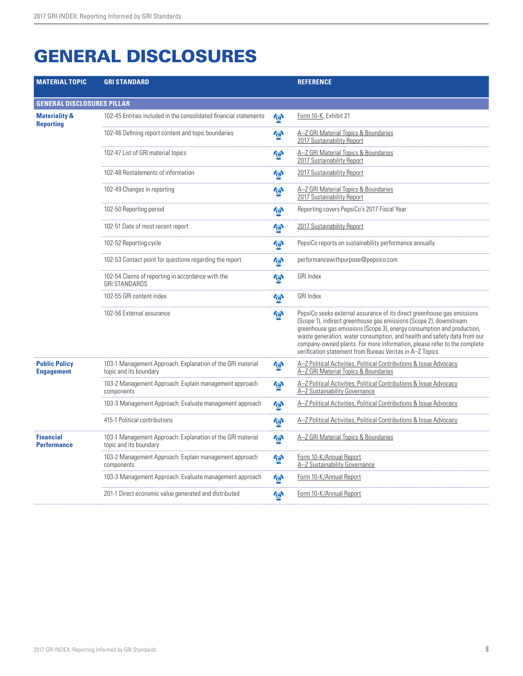| <b>MATERIAL TOPIC</b>                        | <b>GRI STANDARD</b>                                                                  |                       | <b>REFERENCE</b>                                                                                                                                                                                                                                                                                                                                                                                                                            |
|----------------------------------------------|--------------------------------------------------------------------------------------|-----------------------|---------------------------------------------------------------------------------------------------------------------------------------------------------------------------------------------------------------------------------------------------------------------------------------------------------------------------------------------------------------------------------------------------------------------------------------------|
| <b>GENERAL DISCLOSURES PILLAR</b>            |                                                                                      |                       |                                                                                                                                                                                                                                                                                                                                                                                                                                             |
| <b>Materiality &amp;</b><br><b>Reporting</b> | 102-45 Entities included in the consolidated financial statements                    | $\mathbf{r}$          | Form 10-K, Exhibit 21                                                                                                                                                                                                                                                                                                                                                                                                                       |
|                                              | 102-46 Defining report content and topic boundaries                                  | $\boldsymbol{\omega}$ | A-Z GRI Material Topics & Boundaries<br>2017 Sustainability Report                                                                                                                                                                                                                                                                                                                                                                          |
|                                              | 102-47 List of GRI material topics                                                   | <u>জি</u>             | A-Z GRI Material Topics & Boundaries<br>2017 Sustainability Report                                                                                                                                                                                                                                                                                                                                                                          |
|                                              | 102-48 Restatements of information                                                   | $\mathbf{\Theta}$     | 2017 Sustainability Report                                                                                                                                                                                                                                                                                                                                                                                                                  |
|                                              | 102-49 Changes in reporting                                                          | $\boldsymbol{\theta}$ | A-Z GRI Material Topics & Boundaries<br>2017 Sustainability Report                                                                                                                                                                                                                                                                                                                                                                          |
|                                              | 102-50 Reporting period                                                              | $\mathbf{\Theta}$     | Reporting covers PepsiCo's 2017 Fiscal Year                                                                                                                                                                                                                                                                                                                                                                                                 |
|                                              | 102-51 Date of most recent report                                                    | $\mathbf{r}_{\Theta}$ | 2017 Sustainability Report                                                                                                                                                                                                                                                                                                                                                                                                                  |
|                                              | 102-52 Reporting cycle                                                               | $\mathbf{\Theta}$     | PepsiCo reports on sustainability performance annually                                                                                                                                                                                                                                                                                                                                                                                      |
|                                              | 102-53 Contact point for questions regarding the report                              | $\mathbf{\Phi}$       | performancewithpurpose@pepsico.com                                                                                                                                                                                                                                                                                                                                                                                                          |
|                                              | 102-54 Claims of reporting in accordance with the<br><b>GRI STANDARDS</b>            | $\mathbf{r}$          | GRI Index                                                                                                                                                                                                                                                                                                                                                                                                                                   |
|                                              | 102-55 GRI content index                                                             | $\ddot{\theta}$       | <b>GRI Index</b>                                                                                                                                                                                                                                                                                                                                                                                                                            |
|                                              | 102-56 External assurance                                                            | <b>GN</b>             | PepsiCo seeks external assurance of its direct greenhouse gas emissions<br>(Scope 1), indirect greenhouse gas emissions (Scope 2), downstream<br>greenhouse gas emissions (Scope 3), energy consumption and production,<br>waste generation, water consumption, and health and safety data from our<br>company-owned plants. For more information, please refer to the complete<br>verification statement from Bureau Veritas in A-Z Topics |
| <b>Public Policy</b><br><b>Engagement</b>    | 103-1 Management Approach: Explanation of the GRI material<br>topic and its boundary | $\mathbf{\Theta}$     | A-Z Political Activities, Political Contributions & Issue Advocacy<br>A-Z GRI Material Topics & Boundaries                                                                                                                                                                                                                                                                                                                                  |
|                                              | 103-2 Management Approach: Explain management approach<br>components                 | $\mathbf{\Theta}$     | A-Z Political Activities, Political Contributions & Issue Advocacy<br>A-Z Sustainability Governance                                                                                                                                                                                                                                                                                                                                         |
|                                              | 103-3 Management Approach: Evaluate management approach                              | $\ddot{\theta}$       | A-Z Political Activities, Political Contributions & Issue Advocacy                                                                                                                                                                                                                                                                                                                                                                          |
|                                              | 415-1 Political contributions                                                        | $\mathbf{\Theta}$     | A–Z Political Activities. Political Contributions & Issue Advocacv                                                                                                                                                                                                                                                                                                                                                                          |
| <b>Financial</b><br><b>Performance</b>       | 103-1 Management Approach: Explanation of the GRI material<br>topic and its boundary | $\mathbf{r}_{\Theta}$ | A-Z GRI Material Topics & Boundaries                                                                                                                                                                                                                                                                                                                                                                                                        |
|                                              | 103-2 Management Approach: Explain management approach<br>components                 | <u>উ</u>              | Form 10-K/Annual Report<br>A-Z Sustainability Governance                                                                                                                                                                                                                                                                                                                                                                                    |
|                                              | 103-3 Management Approach: Evaluate management approach                              | ゆ                     | Form 10-K/Annual Report                                                                                                                                                                                                                                                                                                                                                                                                                     |
|                                              | 201-1 Direct economic value generated and distributed                                | <b>Para</b>           | Form 10-K/Annual Report                                                                                                                                                                                                                                                                                                                                                                                                                     |